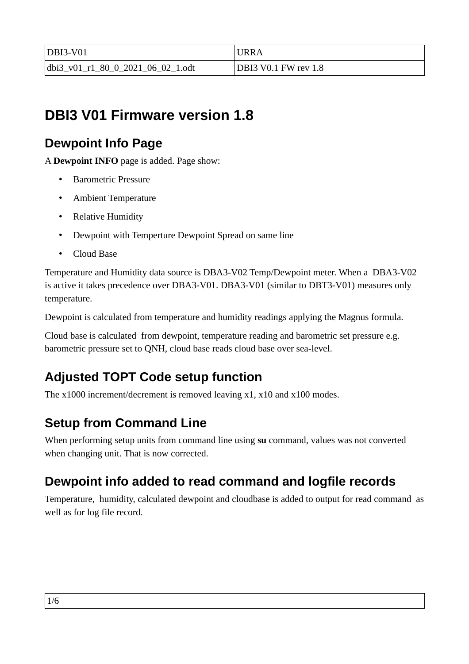| $DBI3-V01$                        | URRA                        |
|-----------------------------------|-----------------------------|
| dbi3 v01 r1 80 0 2021 06 02 1.odt | <b>DBI3 V0.1 FW rev 1.8</b> |

# **DBI3 V01 Firmware version 1.8**

## **Dewpoint Info Page**

A **Dewpoint INFO** page is added. Page show:

- Barometric Pressure
- Ambient Temperature
- Relative Humidity
- Dewpoint with Temperture Dewpoint Spread on same line
- Cloud Base

Temperature and Humidity data source is DBA3-V02 Temp/Dewpoint meter. When a DBA3-V02 is active it takes precedence over DBA3-V01. DBA3-V01 (similar to DBT3-V01) measures only temperature.

Dewpoint is calculated from temperature and humidity readings applying the Magnus formula.

Cloud base is calculated from dewpoint, temperature reading and barometric set pressure e.g. barometric pressure set to QNH, cloud base reads cloud base over sea-level.

# **Adjusted TOPT Code setup function**

The x1000 increment/decrement is removed leaving x1, x10 and x100 modes.

# **Setup from Command Line**

When performing setup units from command line using **su** command, values was not converted when changing unit. That is now corrected.

# **Dewpoint info added to read command and logfile records**

Temperature, humidity, calculated dewpoint and cloudbase is added to output for read command as well as for log file record.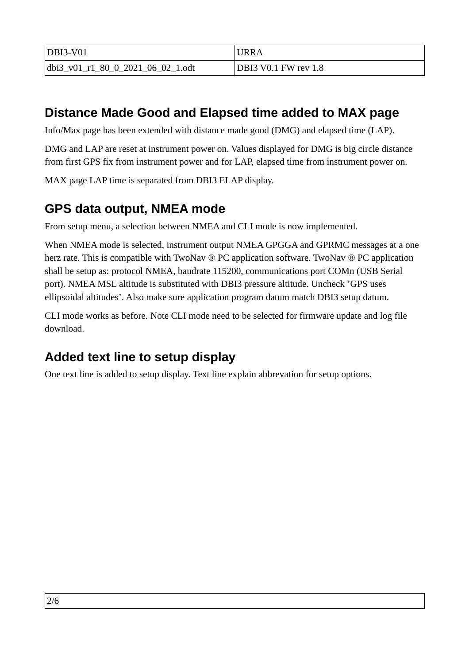| $DBI3-V01$                        | URRA                 |
|-----------------------------------|----------------------|
| dbi3 v01 r1 80 0 2021 06 02 1.odt | DBI3 V0.1 FW rev 1.8 |

## **Distance Made Good and Elapsed time added to MAX page**

Info/Max page has been extended with distance made good (DMG) and elapsed time (LAP).

DMG and LAP are reset at instrument power on. Values displayed for DMG is big circle distance from first GPS fix from instrument power and for LAP, elapsed time from instrument power on.

MAX page LAP time is separated from DBI3 ELAP display.

## **GPS data output, NMEA mode**

From setup menu, a selection between NMEA and CLI mode is now implemented.

When NMEA mode is selected, instrument output NMEA GPGGA and GPRMC messages at a one herz rate. This is compatible with TwoNav ® PC application software. TwoNav ® PC application shall be setup as: protocol NMEA, baudrate 115200, communications port COMn (USB Serial port). NMEA MSL altitude is substituted with DBI3 pressure altitude. Uncheck 'GPS uses ellipsoidal altitudes'. Also make sure application program datum match DBI3 setup datum.

CLI mode works as before. Note CLI mode need to be selected for firmware update and log file download.

## **Added text line to setup display**

One text line is added to setup display. Text line explain abbrevation for setup options.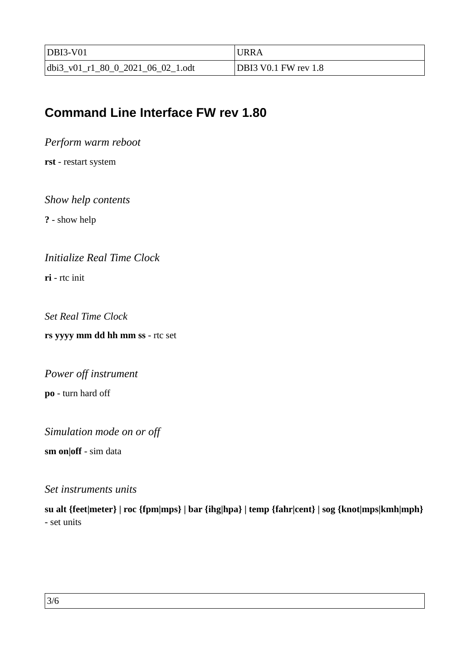| $DBI3-V01$                          | URRA                 |
|-------------------------------------|----------------------|
| $dbi3_v01_r1_80_0_2021_06_02_1.0dt$ | DBI3 V0.1 FW rev 1.8 |

### **Command Line Interface FW rev 1.80**

*Perform warm reboot*

**rst** - restart system

*Show help contents*

**?** - show help

*Initialize Real Time Clock*

**ri** - rtc init

*Set Real Time Clock*

**rs yyyy mm dd hh mm ss** - rtc set

*Power off instrument*

**po** - turn hard off

*Simulation mode on or off*

**sm on|off** - sim data

#### *Set instruments units*

**su alt {feet|meter} | roc {fpm|mps} | bar {ihg|hpa} | temp {fahr|cent} | sog {knot|mps|kmh|mph}** - set units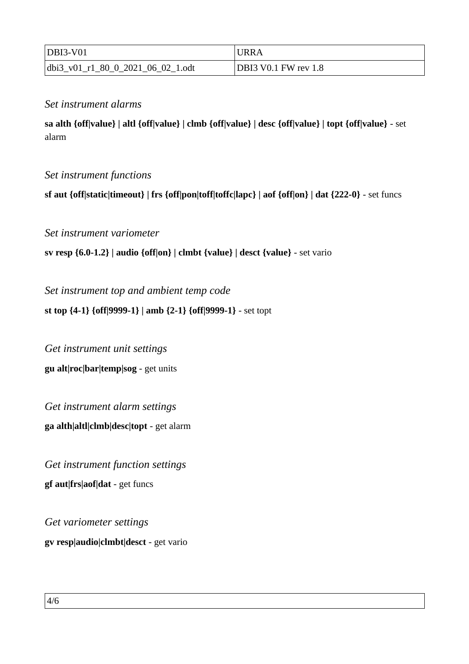| $DBI3-V01$                        | <b>URRA</b>          |
|-----------------------------------|----------------------|
| dbi3 v01 r1 80 0 2021 06 02 1.odt | DBI3 V0.1 FW rev 1.8 |

### *Set instrument alarms*

**sa alth {off|value} | altl {off|value} | clmb {off|value} | desc {off|value} | topt {off|value}** - set alarm

### *Set instrument functions*

**sf aut {off|static|timeout} | frs {off|pon|toff|toffc|lapc} | aof {off|on} | dat {222-0}** - set funcs

*Set instrument variometer* 

**sv resp {6.0-1.2} | audio {off|on} | clmbt {value} | desct {value}** - set vario

*Set instrument top and ambient temp code*

**st top {4-1} {off|9999-1} | amb {2-1} {off|9999-1}** - set topt

*Get instrument unit settings* **gu alt|roc|bar|temp|sog** - get units

*Get instrument alarm settings* **ga alth|altl|clmb|desc|topt** - get alarm

*Get instrument function settings* **gf aut|frs|aof|dat** - get funcs

*Get variometer settings* **gv resp|audio|clmbt|desct** - get vario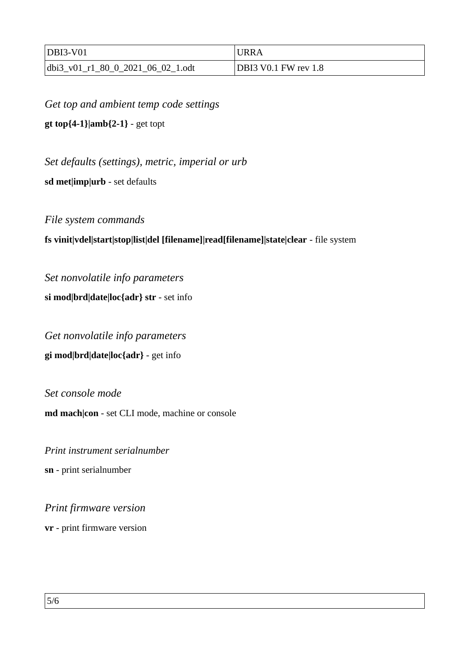| $DBI3-V01$                        | <b>URRA</b>          |
|-----------------------------------|----------------------|
| dbi3 v01 r1 80 0 2021 06 02 1.odt | DBI3 V0.1 FW rev 1.8 |

*Get top and ambient temp code settings* **gt top{4-1}|amb{2-1}** - get topt

*Set defaults (settings), metric, imperial or urb*

**sd met|imp|urb** - set defaults

*File system commands*

#### **fs vinit|vdel|start|stop|list|del [filename]|read[filename]|state|clear** - file system

*Set nonvolatile info parameters* **si mod|brd|date|loc{adr} str** - set info

*Get nonvolatile info parameters* **gi mod|brd|date|loc{adr}** - get info

*Set console mode*  **md mach|con** - set CLI mode, machine or console

*Print instrument serialnumber* **sn** - print serialnumber

*Print firmware version*

**vr** - print firmware version